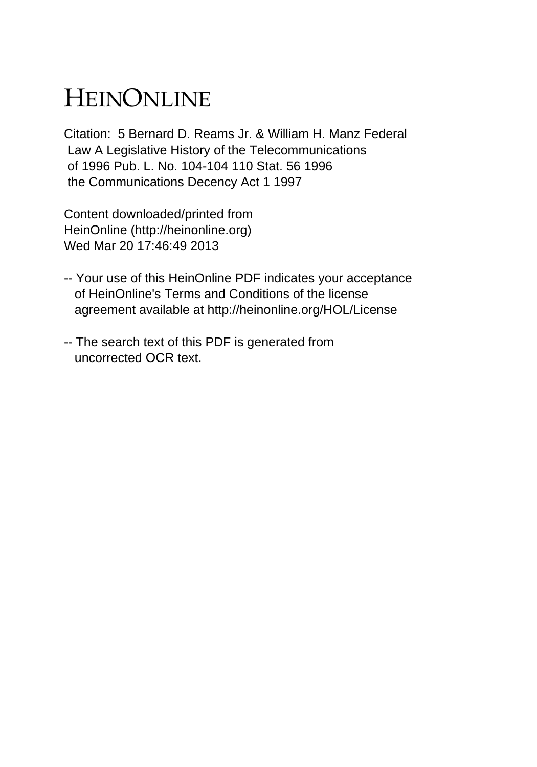## HEINONLINE

Citation: 5 Bernard D. Reams Jr. & William H. Manz Federal Law A Legislative History of the Telecommunications of 1996 Pub. L. No. 104-104 110 Stat. 56 1996 the Communications Decency Act 1 1997

Content downloaded/printed from HeinOnline (http://heinonline.org) Wed Mar 20 17:46:49 2013

- -- Your use of this HeinOnline PDF indicates your acceptance of HeinOnline's Terms and Conditions of the license agreement available at http://heinonline.org/HOL/License
- -- The search text of this PDF is generated from uncorrected OCR text.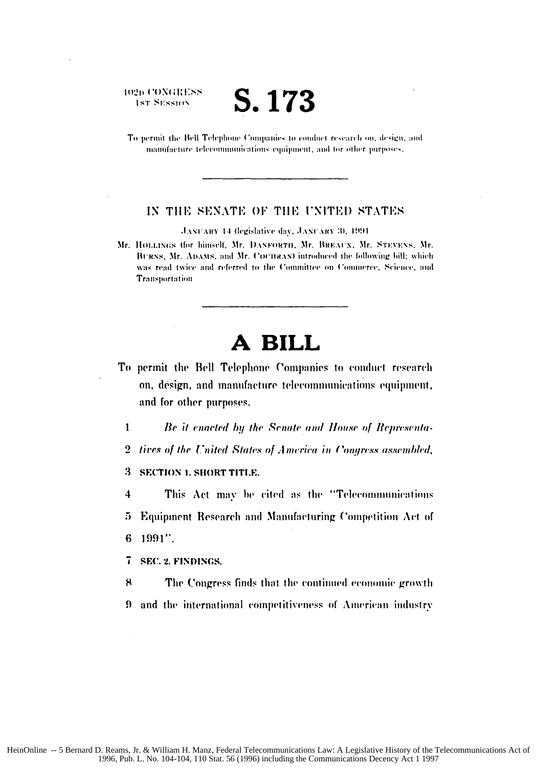1026 CONGRESS **1st SEssion** 

S.173

To permit the Bell Telephone Companies to conduct research on, design, and manufacture telecommunications equipment, and for other purposes.

## IN THE SENATE OF THE UNITED STATES

JANUARY 14 (legislative day, JANUARY 3), 1991

Mr. HOLLINGS (for himself, Mr. DANFORTH, Mr. BREAUX, Mr. STEVENS, Mr. BURNS, Mr. ADAMS, and Mr. COCHRAN) introduced the following bill; which was read twice and referred to the Committee on Commerce, Science, and Transportation

## A BILL

- To permit the Bell Telephone Companies to conduct research on, design, and manufacture telecommunications equipment, and for other purposes.
	- $\mathbf{1}$ Be it enacted by the Scnate and House of Representa-
	- $\overline{2}$ tives of the United States of America in Congress assembled,
	- 3 **SECTION 1. SHORT TITLE.**
	- $\overline{\mathbf{4}}$ This Act may be cited as the "Telecommunications 5 Equipment Research and Manufacturing Competition Act of  $1991$ ". 6
	- SEC. 2. FINDINGS. 7
	- 8 The Congress finds that the continued economic growth and the international competitiveness of American industry 9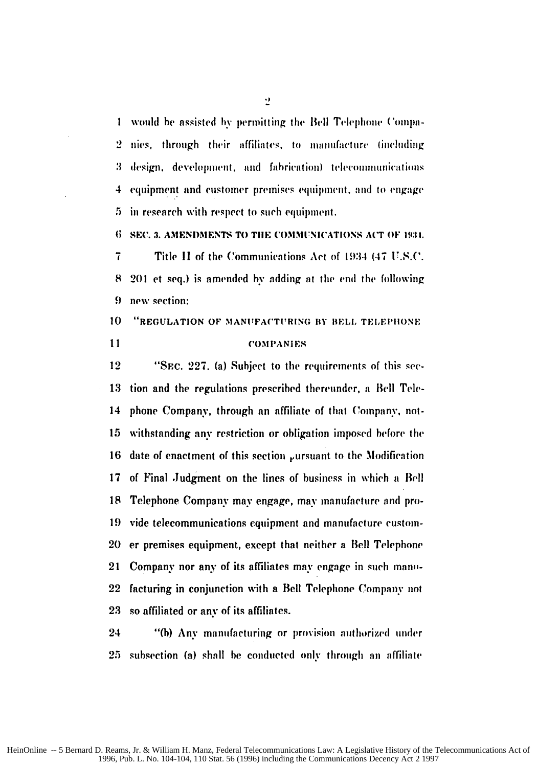**I** would he assisted **by** permitting the **Bell** Telephone (Cimpa-2 nies, through their affiliates, to manufacture (including **:3** design, development, and fabrication) telecommunicationis 4 equipment and customer premises equipment. and **to** engage **5** in research with respect to such equipment.

**6 SEC. 3. AMENDMENTS TO THE COMMUNICATIONS ACT OF 1931.** 

**7 Title II of the Communications Act of 1934 (47 U.S.C.** 8 201 et seq.) is amended **by** adding at the end the following **9** new section:

10 **"REGULATION OF MANUFACTURING BY BELL TELEPHONE 11 COMPANIES** 

12 **"SEC.** 227. (a) Subject to the requirements of this see-13 tion and the regulations prescribed thereunder, a **Bell** Tele-14 phone Company, through an affiliate of that Company, not-15 withstanding **any** restriction or obligation imposed before the **16** date of enactment of this section ,ursuant to the Modification 17 of Final Judgment on the lines of business in which a Bell 18 Telephone Company may engage, may manufacture and pro-**19** vide telecommunications equipment and manufacture custom-20 er premises equipment, except that neither a Bell Telephone 21 Company nor any of its affiliates may engage in such manu-22 facturing in conjunction with a Bell Telephone Company not **23** so affiliated or **any** of its affiliates.

24 **"N() Any** manufacturing or provision aithorized under **25** subsection (a) shall he conducted only through an affiliate

 $\overline{2}$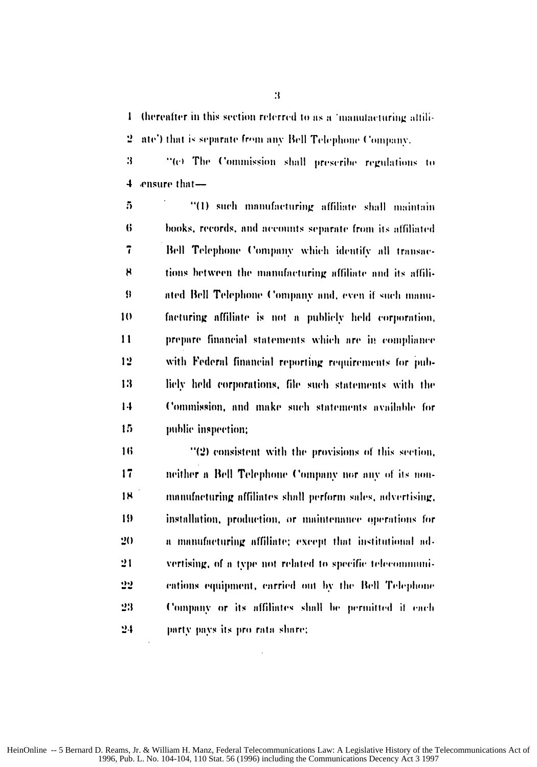$\mathbf{1}$ thereafter in this section referred to as a 'manufacturing affili- $\overline{2}$ ate') that is separate from any Bell Telephone Company.

"(c) The Commission shall prescribe regulations to  $\mathbf{3}$  $\overline{\mathbf{4}}$ ensure that-

 $\ddot{\mathbf{5}}$ "(1) such manufacturing affiliate shall maintain 6 books, records, and accounts separate from its affiliated  $\overline{1}$ Bell Telephone Company which identify all transacя tions between the manufacturing affiliate and its affili-9 ated Bell Telephone Company and, even if such manu- $10$ facturing affiliate is not a publicly held corporation,  $11$ prepare financial statements which are in compliance 12 with Federal financial reporting requirements for pub- $13$ licly held corporations, file such statements with the  $14$ Commission, and make such statements available for 15 public inspection;

16 "(2) consistent with the provisions of this section,  $17$ neither a Bell Telephone Company nor any of its non-18 manufacturing affiliates shall perform sales, advertising,  $19$ installation, production, or maintenance operations for  $20$ a manufacturing affiliate; except that institutional ad- $21$ vertising, of a type not related to specific telecommuni-양양 cations equipment, carried out by the Bell Telephone Company or its affiliates shall be permitted if each 23 party pays its pro rata share;  $24$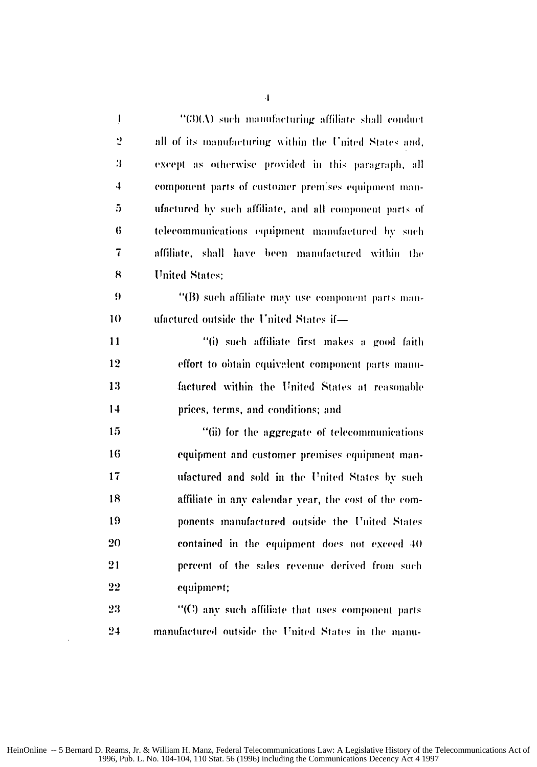| $\mathbf{I}$            | "(3)(A) such manufacturing affiliate shall conduct      |
|-------------------------|---------------------------------------------------------|
| $\ddot{ }$              | all of its manufacturing within the United States and,  |
| 3                       | except as otherwise provided in this paragraph, all     |
| $\overline{4}$          | component parts of customer premises equipment man-     |
| $\boldsymbol{5}$        | ufactured by such affiliate, and all component parts of |
| 6                       | telecommunications equipment manufactured by such       |
| $\overline{\mathbf{r}}$ | affiliate, shall have been manufactured within the      |
| 8                       | <b>United States:</b>                                   |
| $\boldsymbol{\Omega}$   | "(B) such affiliate may use component parts man-        |
| 10                      | ufactured outside the United States if-                 |
| 11                      | "(i) such affiliate first makes a good faith            |
| 12                      | effort to obtain equivalent component parts manu-       |
| 13                      | factured within the United States at reasonable         |
| 14                      | prices, terms, and conditions; and                      |
| 15                      | "(ii) for the aggregate of telecommunications           |
| 16                      | equipment and customer premises equipment man-          |
| 17                      | ufactured and sold in the United States by such         |
| 18                      | affiliate in any calendar year, the cost of the com-    |
| 19                      | ponents manufactured outside the United States          |
| 20                      | contained in the equipment does not exceed 40           |
| 21                      | percent of the sales revenue derived from such          |
| 22                      | equipment;                                              |
| 23                      | "(C) any such affiliate that uses component parts       |
| $^{94}$                 | manufactured outside the United States in the manu-     |

 $\cdot \mathbf{I}$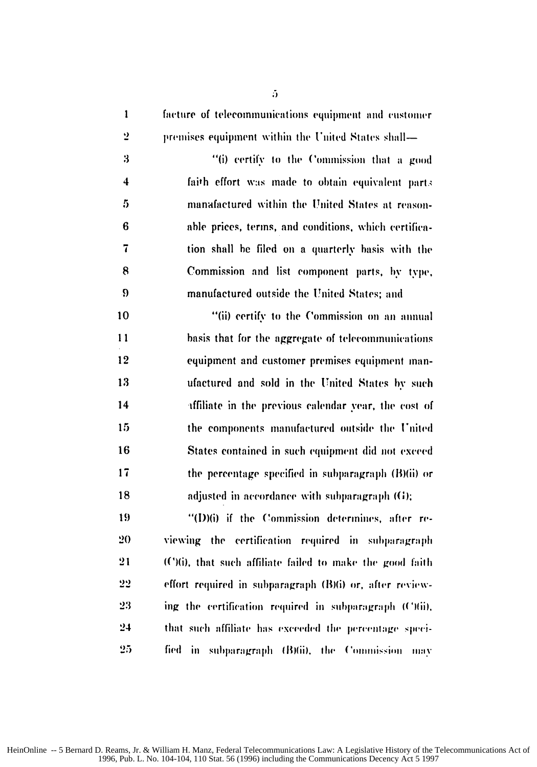**1 facture of telecommunications equipment and customer**  $2$  premises equipment within the United States shall— 3 "(i) eertify to the ('ommission that a gooid 4 faith effort w:is made to obtain equivalent part., 5 manufactured within the United States at reason-**6** able prices, terms, and conditions, which certifica-**7** tion shall he filed on a quarterly basis with the 8 Commission and list component parts, **ly** type. 9 manufactured outside the United States; and 10 "(ii) certify to the Commission on an amnual 11 basis that for the aggregate of telecommunirations 12 equipment and customer premises equipment man-**13** ufactured and sold in the United States by such 14 Iffiliate in the previous calendar year, the cost of 15 the components manufactured **out** side tie Uniteod **16** States contained in such equipment did not exceed 17 the percentage specified in subparagraph (B)(ii) or

 "(D)(i) if the Commission determines, after re-20 viewing the certification required in subparagraph (C)(i), that such affiliate failed to make the good faith effort required in subparagraph (B)(i) or, after review- ing the certification required in subparagraph (C)(ii). that such affiliate has exceeded the percentage speci-25 fied in subparagraph (B)(ii), the Commission may

18 **adjusted in accordance with subparagraph (G)**;

5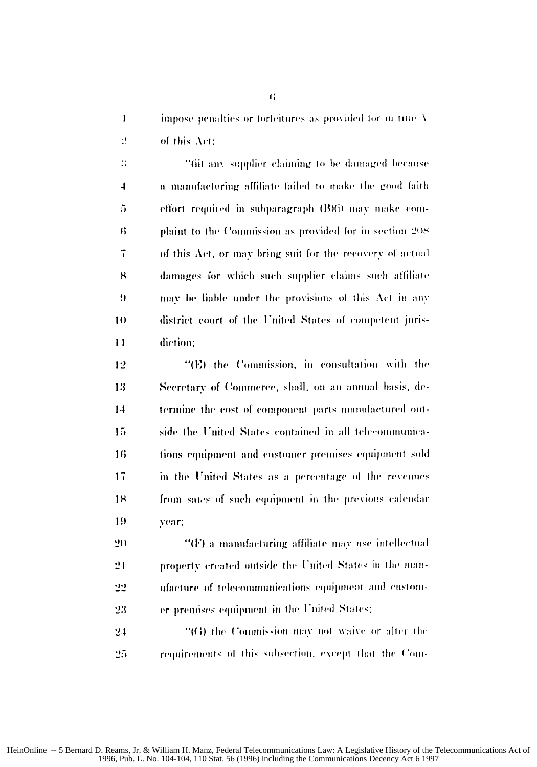$\mathbf{I}$ impose penalties or forfeitures as provided for in title V  $\mathbf{B}$ of this Act:

 $\ddot{\phantom{a}}$ "(ii) any supplier claiming to be damaged because a manufacturing affiliate failed to make the good faith  $\overline{1}$ 5 effort required in subparagraph (B)(i) may make com-6 plaint to the Commission as provided for in section 208 of this Act, or may bring suit for the recovery of actual  $\overline{1}$  $\overline{\mathbf{R}}$ damages for which such supplier claims such affiliate 9 may be liable under the provisions of this Act in any  $10$ district court of the United States of competent juris- $11$ diction;

 $12$ "(E) the Commission, in consultation with the  $1:3$ Secretary of Commerce, shall, on an annual basis, de- $14$ termine the cost of component parts manufactured out-15 side the United States contained in all telecommunica-16 tions equipment and customer premises equipment sold  $17$ in the United States as a percentage of the revenues  $18$ from sates of such equipment in the previous calendar 19 vear;

"(F) a manufacturing affiliate may use intellectual 20 property created outside the United States in the man-21 99 ufacture of telecommunications equipment and customer premises equipment in the United States; 93 "(G) the Commission may not waive or alter the  $24$ 

requirements of this subsection, except that the Com-25

 $\mathbf{G}$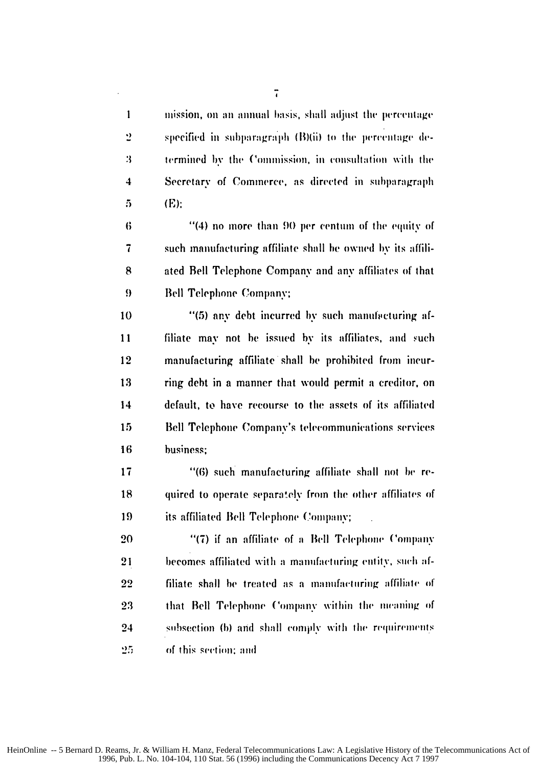**1** 1ission, on **an annual** basis, shall adjust the pt'rvltage 2 specified in subparagraph (B)(ii) to the percentage de-**3** ermined **by** the ('oonission, **in** consultation with ithe 4 Secretary of Commerce, as directed in suhparagraph **5** (E):

"(4) no more than 9() per centurn of the equity of 7 such manufacturing affiliate shall **he** owned **bY** its affili-ated Bell Telephone Company and any affiliates of that **Bell Telephone Company;** 

**10** "(5) any debt incurred **by** such manifi, turing af-11 **filiate may not be issued by its affiliates, and such** 12 manufacturing affiliate shall **he** prohibited from incur-13 ring debt in a manner that would permit a creditor, on 14 default, to have recourse to **tie** assets of its affiliated 15 Bell Telephone Company's telecommunications services **16** business;

17 "(6) such manufacturing affiliate shall not he re-18 quired to operate separately from the other affiliates of 19 its affiliated Bell Telephone (ompamy;

20 "(7) if an affiliate of a Bell Telephone Company 21 becomes affiliated with a manufacturing entity, such af-22 **filiate shall be treated as a manufacturing affiliate of** 23 that Bell Telephone Company within the meaning of 24 subsection (b) and shall comply with the requirements 25 of this section; and

**7**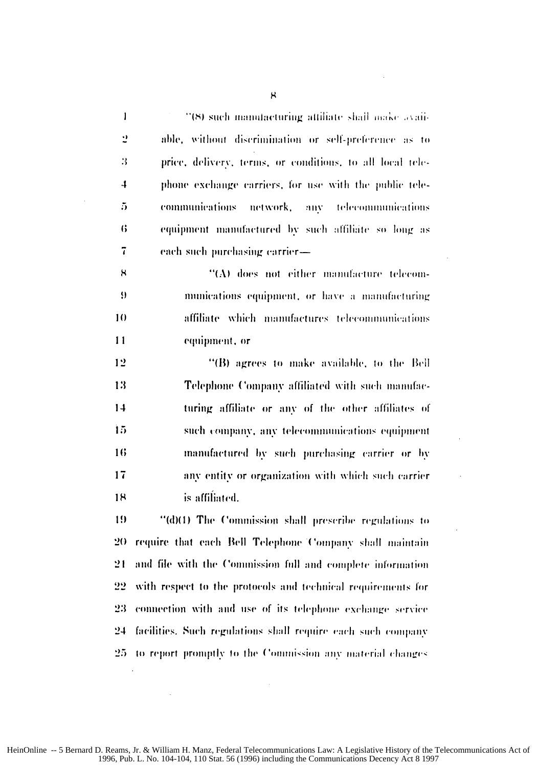| 1                       | "(8) such manufacturing attiliate shall make avail-          |
|-------------------------|--------------------------------------------------------------|
| $\ddot{ }$              | able, without discrimination or self-preference as to        |
| 3                       | price, delivery, terms, or conditions, to all local tele-    |
| $\ddot{\mathbf{I}}$     | phone exchange carriers, for use with the public tele-       |
| $\ddot{\rm{5}}$         | communications network, any telecommunications               |
| 6                       | equipment manufactured by such affiliate so long as          |
| $\overline{\mathbf{I}}$ | each such purchasing carrier—                                |
| $\mu$                   | "(A) does not either manufacture telecom-                    |
| 9                       | munications equipment, or have a manufacturing               |
| 10                      | affiliate which manufactures telecommunications              |
| 11                      | equipment, or                                                |
| 12                      | "(B) agrees to make available, to the Bell                   |
| 13                      | Telephone Company affiliated with such manufac-              |
| 14                      | turing affiliate or any of the other affiliates of           |
| 15                      | such company, any telecommunications equipment               |
| 16                      | manufactured by such purchasing carrier or by                |
| 17                      | any entity or organization with which such carrier           |
| 18                      | is affiliated.                                               |
| 19                      | "(d)(1) The Commission shall prescribe regulations to        |
| 20                      | require that each Bell Telephone Company shall maintain      |
| 21                      | and file with the Commission full and complete information   |
| $22^{\circ}$            | with respect to the protocols and technical requirements for |

HeinOnline -- 5 Bernard D. Reams, Jr. & William H. Manz, Federal Telecommunications Law: A Legislative History of the Telecommunications Act of 1996, Pub. L. No. 104-104, 110 Stat. 56 (1996) including the Communications De

connection with and use of its telephone exchange service

facilities. Such regulations shall require each such company

25 to report promptly to the Commission any material changes

 $\mathbf{R}$ 

 $\mathcal{L}$ 

23

 $24$ 

 $\hat{\mathcal{A}}$ 

 $\sim$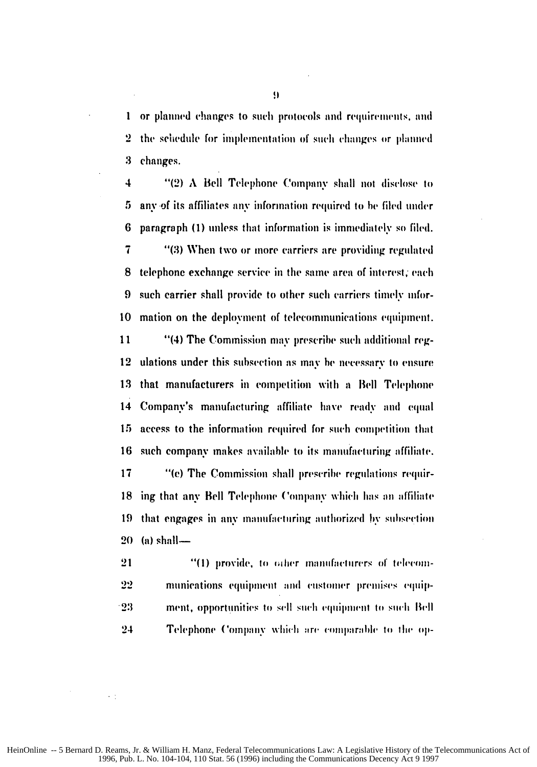or planned changes to such protocols and requirements, and  $\mathbf{1}$ 2 the schedule for implementation of such changes or planned 3 changes.

"(2) A Bell Telephone Company shall not disclose to 4 5 any of its affiliates any information required to be filed under paragraph (1) unless that information is immediately so filed. 6  $\overline{7}$ "(3) When two or more carriers are providing regulated 8 telephone exchange service in the same area of interest, each 9 such carrier shall provide to other such carriers timely information on the deployment of telecommunications equipment. 10

"(4) The Commission may prescribe such additional reg-11 ulations under this subsection as may be necessary to ensure 12 that manufacturers in competition with a Bell Telephone 13 Company's manufacturing affiliate have ready and equal 14 15 access to the information required for such competition that 16 such company makes available to its manufacturing affiliate.  $17$ "(e) The Commission shall prescribe regulations requiring that any Bell Telephone Company which has an affiliate 18 19 that engages in any manufacturing authorized by subsection  $20$  $(a)$  shall—

 $\overline{21}$ "(1) provide, to other manufacturers of telecom-22 munications equipment and customer premises equip--23 ment, opportunities to sell such equipment to such Bell  $24$ Telephone Company which are comparable to the op-

9

 $\epsilon$  ,  $\epsilon$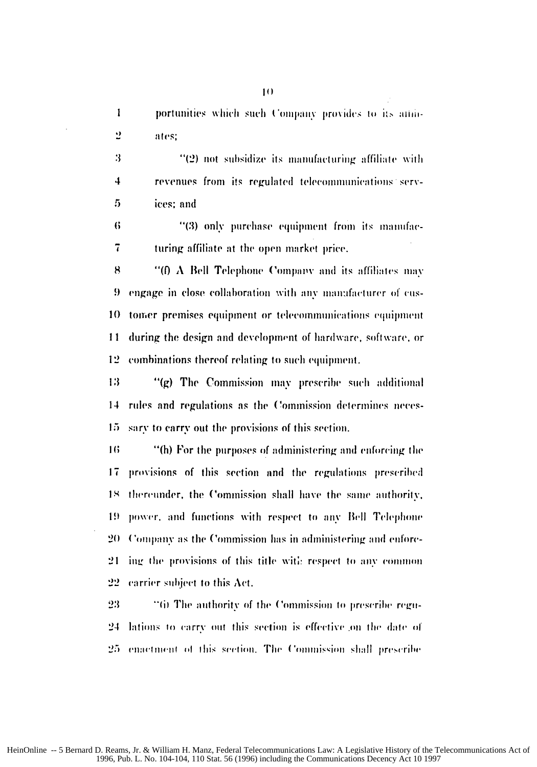portunities which such Company provides to its anii- $\mathbf{I}$  $\ddot{ }$ ates:

3 "(2) not subsidize its manufacturing affiliate with  $\overline{4}$ revenues from its regulated telecommunications serv-5 ices: and

6 "(3) only purchase equipment from its manufac-7 turing affiliate at the open market price.

 $\bf{8}$ "(f)  $\Lambda$  Bell Telephone Company and its affiliates may engage in close collaboration with any manufacturer of cus-9  $10<sup>2</sup>$ tomer premises equipment or telecommunications equipment  $11$ during the design and development of hardware, software, or  $12$ combinations thereof relating to such equipment.

 $13$ "(g) The Commission may prescribe such additional rules and regulations as the Commission determines neces- $14$  $15$ sary to carry out the provisions of this section.

16 "(h) For the purposes of administering and enforcing the provisions of this section and the regulations prescribed  $17$  $18$ thereunder, the Commission shall have the same authority, power, and functions with respect to any Bell Telephone 19  $20$ Company as the Commission has in administering and enforc- $21$ ing the provisions of this title with respect to any common  $22$ carrier subject to this Act.

23 "6) The authority of the Commission to prescribe regu- $24$ lations to carry out this section is effective on the date of enactment of this section. The Commission shall prescribe 25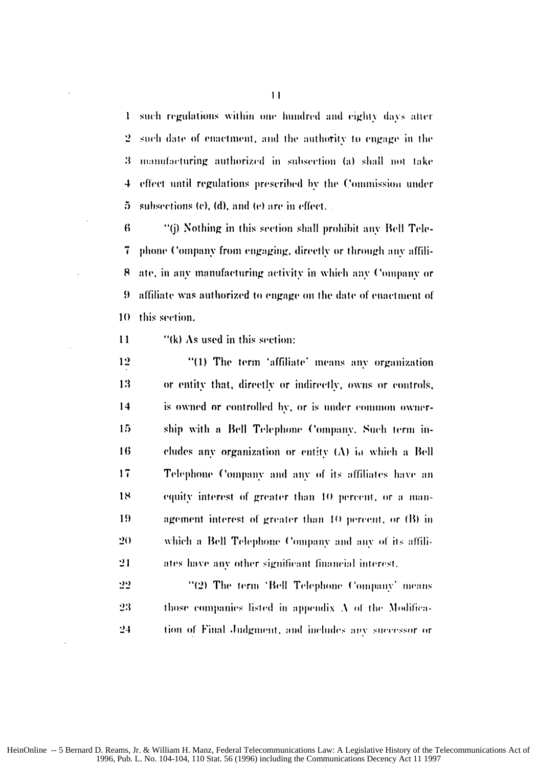such regulations within one hundred and eighty days after 1 such date of enactment, and the authority to engage in the  $\dot{2}$ manufacturing authorized in subsection (a) shall not take  $\mathbf{3}$  $\overline{4}$ effect until regulations prescribed by the Commission under subsections (c), (d), and (e) are in effect. 5

6 "(i) Nothing in this section shall prohibit any Bell Tele- $\overline{\mathbf{r}}$ phone Company from engaging, directly or through any affiliate, in any manufacturing activity in which any Company or 8 9 affiliate was authorized to engage on the date of enactment of this section. 10

 $11$ "(k) As used in this section:

"(1) The term 'affiliate' means any organization 12 13 or entity that, directly or indirectly, owns or controls,  $14$ is owned or controlled by, or is under common owner- $15$ ship with a Bell Telephone Company. Such term in-16 cludes any organization or entity  $(A)$  in which a Bell  $17$ Telephone Company and any of its affiliates have an 18 equity interest of greater than 10 percent, or a man-19 agement interest of greater than 10 percent, or (B) in  $20$ which a Bell Telephone Company and any of its affili- $21$ ates have any other significant financial interest.

22 "(2) The term 'Bell Telephone Company' means 23 those companies listed in appendix  $\Lambda$  of the Modifica- $24$ tion of Final Judgment, and includes any successor or

 $\overline{11}$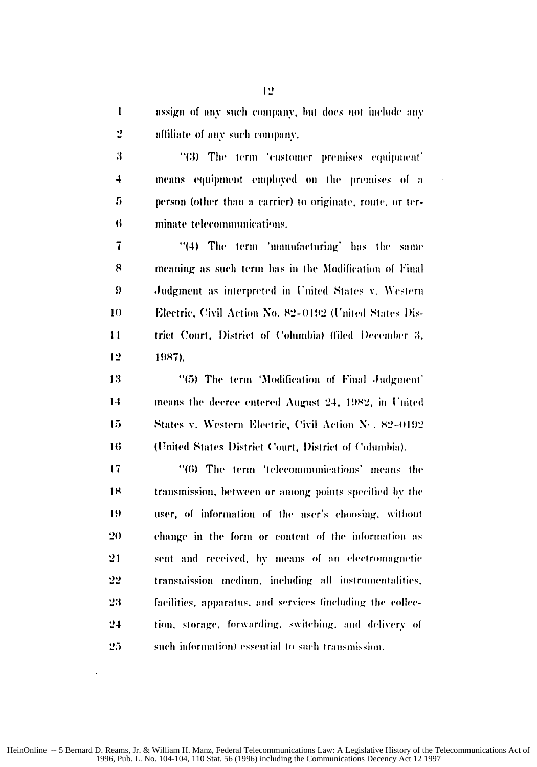|   | assign of any such company, but does not include any |
|---|------------------------------------------------------|
| 2 | affiliate of any such company.                       |

3 "(3) The term 'customer premises equipment'  $\overline{\mathbf{4}}$ means equipment employed on the premises of a 5 person (other than a carrier) to originate, route, or ter-6 minate telecommunications.

 $\overline{1}$ "(4) The term 'manufacturing' has the same  $\mathbf{8}$ meaning as such term has in the Modification of Final 9 Judgment as interpreted in United States v. Western  $10$ Electric, Civil Action No. 82-0192 (United States Dis- $11$ trict Court, District of Columbia) (filed December 3,  $12$ 1987).

"(5) The term 'Modification of Final Judgment' 13  $14$ means the decree entered August 24, 1982, in United  $15$ States v. Western Electric, Civil Action Nr. 82-0192 16 (United States District Court, District of Columbia).

 $17$ "(6) The term 'telecommunications' means the 18 transmission, between or among points specified by the 19 user, of information of the user's choosing, without  $20$ change in the form or content of the information as  $21$ sent and received, by means of an electromagnetic 99 transmission medium, including all instrumentalities, 23 facilities, apparatus, and services (including the collection, storage, forwarding, switching, and delivery of 24  $25$ such information) essential to such transmission.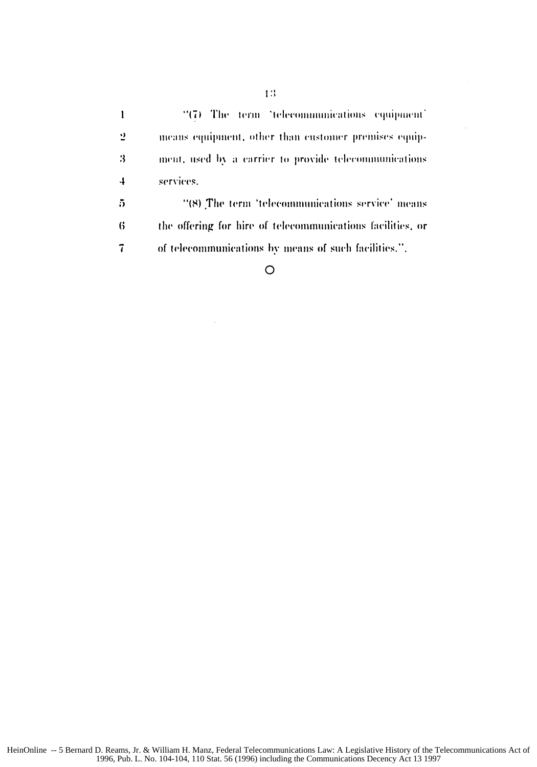"(7) The term 'telecommunications equipment'  $\mathbf{1}$  $\overline{2}$ means equipment, other than customer premises equip-3 ment, used by a carrier to provide telecommunications services.  $\overline{4}$ "(8) The term 'telecommunications service' means  $\ddot{\rm o}$ 

the offering for hire of telecommunications facilities, or  $\boldsymbol{6}$  $\overline{\mathbf{r}}$ of telecommunications by means of such facilities.".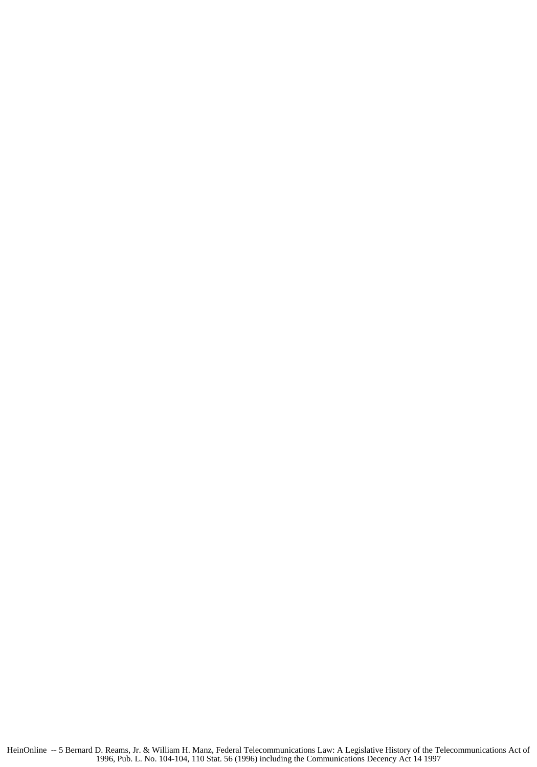HeinOnline -- 5 Bernard D. Reams, Jr. & William H. Manz, Federal Telecommunications Law: A Legislative History of the Telecommunications Act of 1996, Pub. L. No. 104-104, 110 Stat. 56 (1996) including the Communications Decency Act 14 1997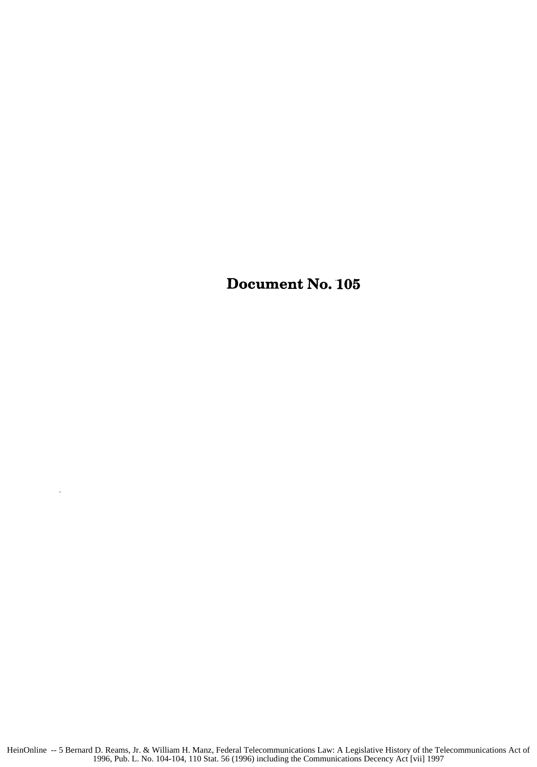Document No. 105

 $\ddot{\phantom{a}}$